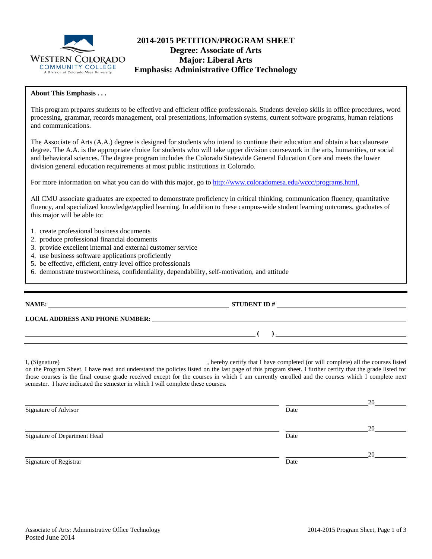

# **2014-2015 PETITION/PROGRAM SHEET Degree: Associate of Arts Major: Liberal Arts Emphasis: Administrative Office Technology**

### **About This Emphasis . . .**

This program prepares students to be effective and efficient office professionals. Students develop skills in office procedures, word processing, grammar, records management, oral presentations, information systems, current software programs, human relations and communications.

The Associate of Arts (A.A.) degree is designed for students who intend to continue their education and obtain a baccalaureate degree. The A.A. is the appropriate choice for students who will take upper division coursework in the arts, humanities, or social and behavioral sciences. The degree program includes the Colorado Statewide General Education Core and meets the lower division general education requirements at most public institutions in Colorado.

For more information on what you can do with this major, go to [http://www.coloradomesa.edu/wccc/programs.html.](http://www.coloradomesa.edu/wccc/programs.html)

All CMU associate graduates are expected to demonstrate proficiency in critical thinking, communication fluency, quantitative fluency, and specialized knowledge/applied learning. In addition to these campus-wide student learning outcomes, graduates of this major will be able to:

- 1. create professional business documents
- 2. produce professional financial documents
- 3. provide excellent internal and external customer service
- 4. use business software applications proficiently
- 5**.** be effective, efficient, entry level office professionals
- 6. demonstrate trustworthiness, confidentiality, dependability, self-motivation, and attitude

### **NAME: STUDENT ID #**

**LOCAL ADDRESS AND PHONE NUMBER:**

I, (Signature) **Source 2008**, hereby certify that I have completed (or will complete) all the courses listed on the Program Sheet. I have read and understand the policies listed on the last page of this program sheet. I further certify that the grade listed for those courses is the final course grade received except for the courses in which I am currently enrolled and the courses which I complete next semester. I have indicated the semester in which I will complete these courses.

**( )** 

|                              |      | 20 |
|------------------------------|------|----|
| Signature of Advisor         | Date |    |
|                              |      | 20 |
| Signature of Department Head | Date |    |
|                              |      | 20 |
| Signature of Registrar       | Date |    |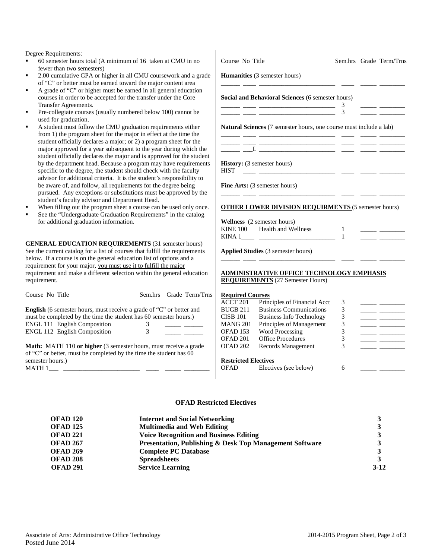Degree Requirements:

- 60 semester hours total (A minimum of 16 taken at CMI fewer than two semesters)
- 2.00 cumulative GPA or higher in all CMU coursework a of "C" or better must be earned toward the major content
- A grade of "C" or higher must be earned in all general ed courses in order to be accepted for the transfer under the Transfer Agreements.
- Pre-collegiate courses (usually numbered below 100) can used for graduation.
- A student must follow the CMU graduation requirements from  $1$ ) the program sheet for the major in effect at the time student officially declares a major; or 2) a program sheet major approved for a year subsequent to the year during student officially declares the major and is approved for by the department head. Because a program may have req specific to the degree, the student should check with the advisor for additional criteria. It is the student's responsi be aware of, and follow, all requirements for the degree b pursued. Any exceptions or substitutions must be approv student's faculty advisor and Department Head.
- When filling out the program sheet a course can be used
- See the "Undergraduate Graduation Requirements" in the for additional graduation information.

**GENERAL EDUCATION REQUIREMENTS** (31 semester See the current catalog for a list of courses that fulfill the requ below. If a course is on the general education list of options and requirement for your major, you must use it to fulfill the major requirement and make a different selection within the general requirement.

| Course No Title                                                                                                                                                   |   | Sem.hrs Grade Term/Trns |
|-------------------------------------------------------------------------------------------------------------------------------------------------------------------|---|-------------------------|
| <b>English</b> (6 semester hours, must receive a grade of "C" or better and<br>must be completed by the time the student has 60 semester hours.)                  |   |                         |
| <b>ENGL 111 English Composition</b>                                                                                                                               | 3 |                         |
| <b>ENGL 112 English Composition</b>                                                                                                                               | 3 |                         |
| <b>Math:</b> MATH 110 or higher (3 semester hours, must receive a grade<br>of "C" or better, must be completed by the time the student has 60<br>semester hours.) |   |                         |

 $MATH 1$ <sub>\_\_\_\_\_</sub>\_\_

| U in no                           | Course No Title                                            |                                                                                             |                |  | Sem.hrs Grade Term/Trns                       |  |
|-----------------------------------|------------------------------------------------------------|---------------------------------------------------------------------------------------------|----------------|--|-----------------------------------------------|--|
| and a grade<br>t area             |                                                            | <b>Humanities</b> (3 semester hours)                                                        |                |  |                                               |  |
| ducation<br>Core                  |                                                            | Social and Behavioral Sciences (6 semester hours)                                           |                |  |                                               |  |
| nnot be                           |                                                            |                                                                                             | 3<br>3         |  |                                               |  |
| s either<br>me the<br>for the     |                                                            | Natural Sciences (7 semester hours, one course must include a lab)                          |                |  |                                               |  |
| which the<br>the student          |                                                            |                                                                                             |                |  |                                               |  |
| quirements<br>faculty             | <b>HIST</b>                                                | History: (3 semester hours)                                                                 |                |  |                                               |  |
| ibility to<br>being<br>ved by the |                                                            | <b>Fine Arts:</b> (3 semester hours)                                                        |                |  |                                               |  |
| only once.<br>e catalog           | <b>OTHER LOWER DIVISION REQUIRMENTS (5 semester hours)</b> |                                                                                             |                |  |                                               |  |
|                                   |                                                            | Wellness (2 semester hours)                                                                 |                |  |                                               |  |
|                                   |                                                            | KINE 100 Health and Wellness                                                                | -1<br>-1       |  | <u> Den Bernard (Bernard Bernard Bernard)</u> |  |
| r hours)<br>iirements<br>and a    |                                                            | Applied Studies (3 semester hours)                                                          |                |  |                                               |  |
| r<br>education                    |                                                            |                                                                                             |                |  |                                               |  |
|                                   |                                                            | <u>ADMINISTRATIVE OFFICE TECHNOLOGY EMPHASIS</u><br><b>REQUIREMENTS</b> (27 Semester Hours) |                |  |                                               |  |
| Term/Trns                         | <b>Required Courses</b>                                    |                                                                                             |                |  |                                               |  |
|                                   | ACCT 201                                                   | Principles of Financial Acct                                                                | 3              |  |                                               |  |
| ter and                           | <b>BUGB 211</b>                                            | <b>Business Communications</b>                                                              | 3              |  |                                               |  |
| urs.)                             | CISB 101                                                   | <b>Business Info Technology</b>                                                             | $\mathfrak{Z}$ |  |                                               |  |
|                                   | MANG 201                                                   | Principles of Management                                                                    | $\mathfrak{Z}$ |  |                                               |  |
|                                   | OFAD 153                                                   | Word Processing                                                                             | $\mathfrak{Z}$ |  |                                               |  |
|                                   | OFAD 201                                                   | <b>Office Procedures</b>                                                                    | $\mathfrak{Z}$ |  |                                               |  |
| e a grade<br>as 60                | OFAD <sub>202</sub>                                        | Records Management                                                                          | 3              |  |                                               |  |
|                                   | <b>Restricted Electives</b>                                |                                                                                             |                |  |                                               |  |
|                                   | <b>OFAD</b>                                                | Electives (see below)                                                                       | 6              |  |                                               |  |

#### **OFAD Restricted Electives**

| <b>OFAD 120</b> | <b>Internet and Social Networking</b>                              |          |
|-----------------|--------------------------------------------------------------------|----------|
| <b>OFAD 125</b> | <b>Multimedia and Web Editing</b>                                  |          |
| <b>OFAD 221</b> | <b>Voice Recognition and Business Editing</b>                      |          |
| <b>OFAD 267</b> | <b>Presentation, Publishing &amp; Desk Top Management Software</b> |          |
| <b>OFAD 269</b> | <b>Complete PC Database</b>                                        |          |
| <b>OFAD 208</b> | <b>Spreadsheets</b>                                                |          |
| <b>OFAD 291</b> | <b>Service Learning</b>                                            | $3 - 12$ |